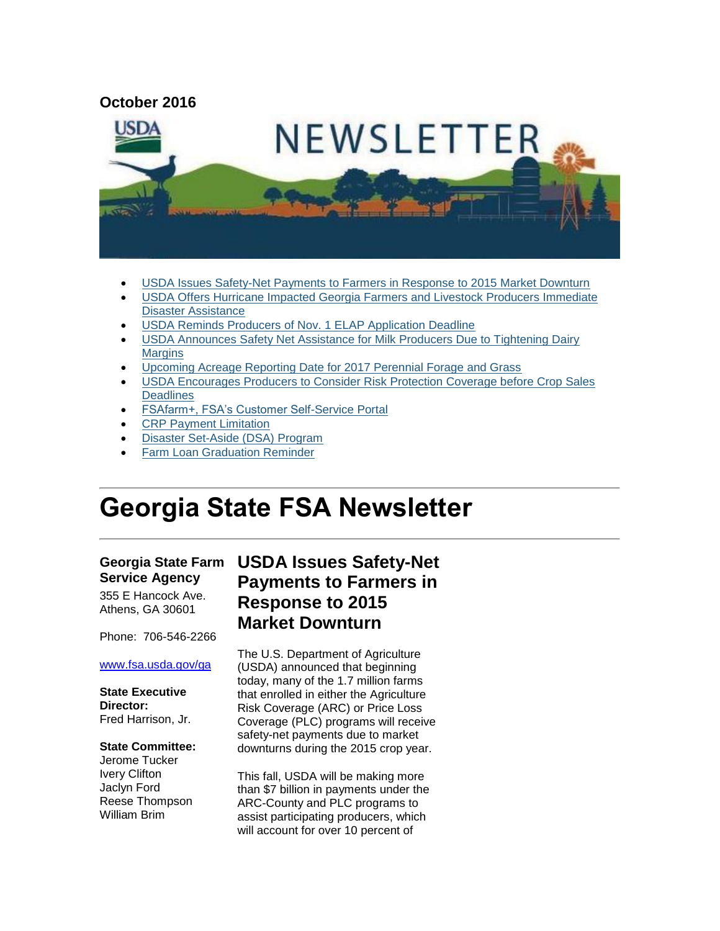

- [USDA Issues Safety-Net Payments to Farmers in Response to 2015 Market Downturn](#page-0-0)
- [USDA Offers Hurricane Impacted Georgia Farmers and Livestock Producers Immediate](#page-2-0)  [Disaster Assistance](#page-2-0)
- [USDA Reminds Producers of Nov. 1 ELAP Application Deadline](#page-3-0)
- [USDA Announces Safety Net Assistance for Milk Producers Due to Tightening Dairy](#page-4-0)  **[Margins](#page-4-0)**
- [Upcoming Acreage Reporting Date for 2017 Perennial Forage and Grass](#page-4-1)
- [USDA Encourages Producers to Consider Risk Protection Coverage before Crop Sales](#page-5-0)  **[Deadlines](#page-5-0)**
- [FSAfarm+, FSA's Customer Self-Service Portal](#page-5-1)
- [CRP Payment Limitation](#page-6-0)
- [Disaster Set-Aside \(DSA\) Program](#page-7-0)
- [Farm Loan Graduation Reminder](#page-7-1)

# **Georgia State FSA Newsletter**

#### **Georgia State Farm Service Agency**

355 E Hancock Ave. Athens, GA 30601

Phone: 706-546-2266

#### [www.fsa.usda.gov/ga](http://www.fsa.usda.gov/ga)

**State Executive Director:** Fred Harrison, Jr.

#### **State Committee:**

Jerome Tucker Ivery Clifton Jaclyn Ford Reese Thompson William Brim

## <span id="page-0-0"></span>**USDA Issues Safety-Net Payments to Farmers in Response to 2015 Market Downturn**

The U.S. Department of Agriculture (USDA) announced that beginning today, many of the 1.7 million farms that enrolled in either the Agriculture Risk Coverage (ARC) or Price Loss Coverage (PLC) programs will receive safety-net payments due to market downturns during the 2015 crop year.

This fall, USDA will be making more than \$7 billion in payments under the ARC-County and PLC programs to assist participating producers, which will account for over 10 percent of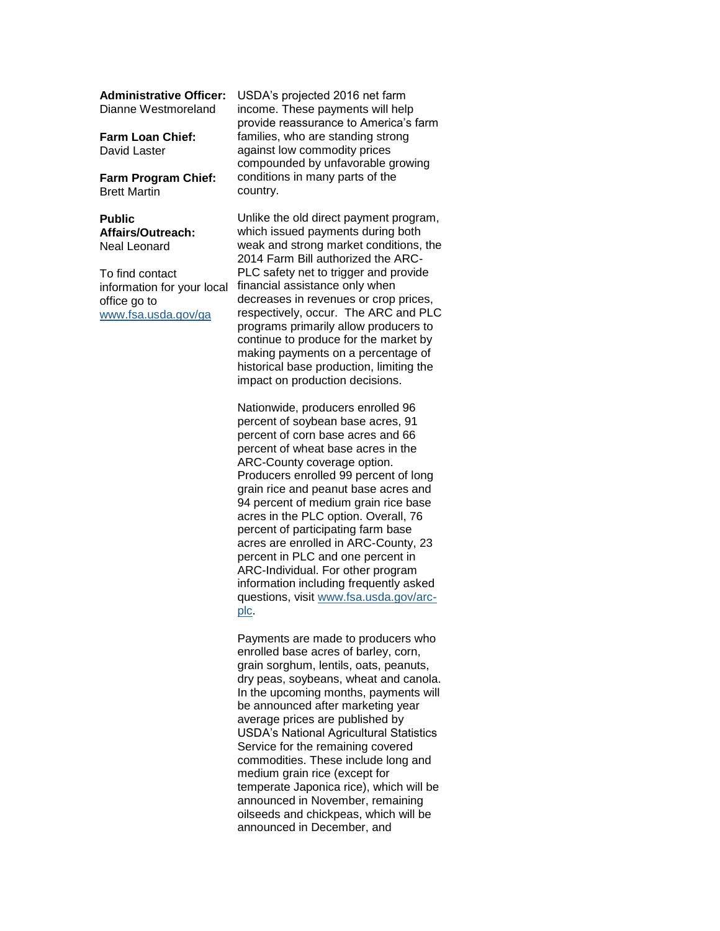Dianne Westmoreland

**Farm Loan Chief:** David Laster

**Farm Program Chief:** Brett Martin

**Public Affairs/Outreach:** Neal Leonard

To find contact information for your local office go to [www.fsa.usda.gov/ga](http://www.fsa.usda.gov/ga)

**Administrative Officer:** USDA's projected 2016 net farm income. These payments will help provide reassurance to America's farm families, who are standing strong against low commodity prices compounded by unfavorable growing conditions in many parts of the country.

> Unlike the old direct payment program, which issued payments during both weak and strong market conditions, the 2014 Farm Bill authorized the ARC-PLC safety net to trigger and provide financial assistance only when decreases in revenues or crop prices, respectively, occur. The ARC and PLC programs primarily allow producers to continue to produce for the market by making payments on a percentage of historical base production, limiting the impact on production decisions.

Nationwide, producers enrolled 96 percent of soybean base acres, 91 percent of corn base acres and 66 percent of wheat base acres in the ARC-County coverage option. Producers enrolled 99 percent of long grain rice and peanut base acres and 94 percent of medium grain rice base acres in the PLC option. Overall, 76 percent of participating farm base acres are enrolled in ARC-County, 23 percent in PLC and one percent in ARC-Individual. For other program information including frequently asked questions, visit [www.fsa.usda.gov/arc](http://www.fsa.usda.gov/arc-plc)[plc.](http://www.fsa.usda.gov/arc-plc)

Payments are made to producers who enrolled base acres of barley, corn, grain sorghum, lentils, oats, peanuts, dry peas, soybeans, wheat and canola. In the upcoming months, payments will be announced after marketing year average prices are published by USDA's National Agricultural Statistics Service for the remaining covered commodities. These include long and medium grain rice (except for temperate Japonica rice), which will be announced in November, remaining oilseeds and chickpeas, which will be announced in December, and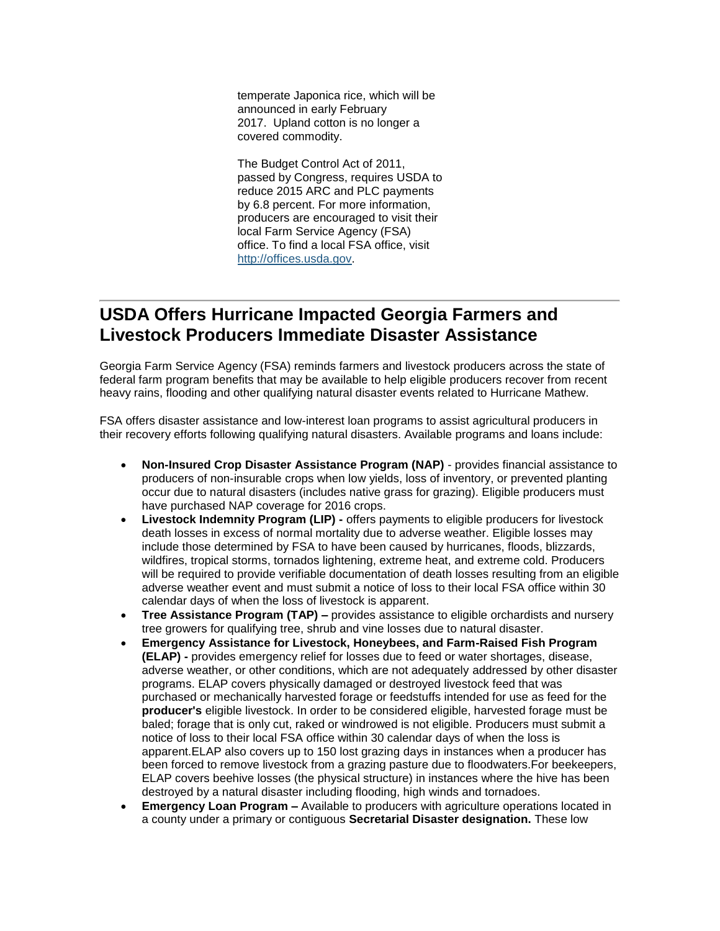temperate Japonica rice, which will be announced in early February 2017. Upland cotton is no longer a covered commodity.

The Budget Control Act of 2011, passed by Congress, requires USDA to reduce 2015 ARC and PLC payments by 6.8 percent. For more information, producers are encouraged to visit their local Farm Service Agency (FSA) office. To find a local FSA office, visit [http://offices.usda.gov.](http://offices.usda.gov/)

## <span id="page-2-0"></span>**USDA Offers Hurricane Impacted Georgia Farmers and Livestock Producers Immediate Disaster Assistance**

Georgia Farm Service Agency (FSA) reminds farmers and livestock producers across the state of federal farm program benefits that may be available to help eligible producers recover from recent heavy rains, flooding and other qualifying natural disaster events related to Hurricane Mathew.

FSA offers disaster assistance and low-interest loan programs to assist agricultural producers in their recovery efforts following qualifying natural disasters. Available programs and loans include:

- **Non-Insured Crop Disaster Assistance Program (NAP)**  provides financial assistance to producers of non-insurable crops when low yields, loss of inventory, or prevented planting occur due to natural disasters (includes native grass for grazing). Eligible producers must have purchased NAP coverage for 2016 crops.
- **Livestock Indemnity Program (LIP) -** offers payments to eligible producers for livestock death losses in excess of normal mortality due to adverse weather. Eligible losses may include those determined by FSA to have been caused by hurricanes, floods, blizzards, wildfires, tropical storms, tornados lightening, extreme heat, and extreme cold. Producers will be required to provide verifiable documentation of death losses resulting from an eligible adverse weather event and must submit a notice of loss to their local FSA office within 30 calendar days of when the loss of livestock is apparent.
- Tree Assistance Program (TAP) provides assistance to eligible orchardists and nursery tree growers for qualifying tree, shrub and vine losses due to natural disaster.
- **Emergency Assistance for Livestock, Honeybees, and Farm-Raised Fish Program (ELAP) -** provides emergency relief for losses due to feed or water shortages, disease, adverse weather, or other conditions, which are not adequately addressed by other disaster programs. ELAP covers physically damaged or destroyed livestock feed that was purchased or mechanically harvested forage or feedstuffs intended for use as feed for the **producer's** eligible livestock. In order to be considered eligible, harvested forage must be baled; forage that is only cut, raked or windrowed is not eligible. Producers must submit a notice of loss to their local FSA office within 30 calendar days of when the loss is apparent.ELAP also covers up to 150 lost grazing days in instances when a producer has been forced to remove livestock from a grazing pasture due to floodwaters.For beekeepers, ELAP covers beehive losses (the physical structure) in instances where the hive has been destroyed by a natural disaster including flooding, high winds and tornadoes.
- **Emergency Loan Program –** Available to producers with agriculture operations located in a county under a primary or contiguous **Secretarial Disaster designation.** These low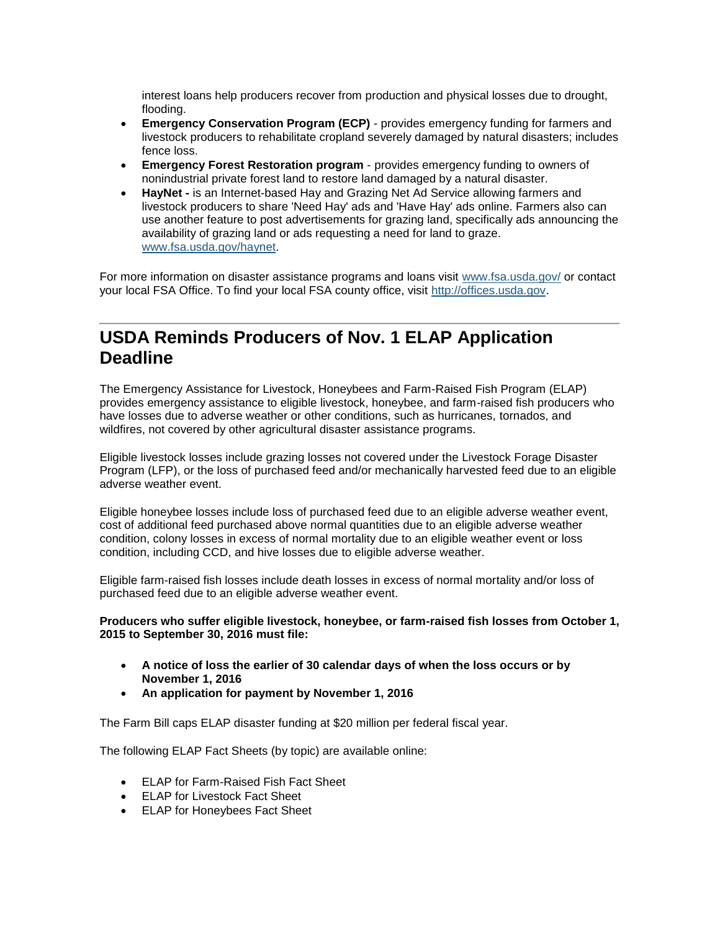interest loans help producers recover from production and physical losses due to drought, flooding.

- **Emergency Conservation Program (ECP)** provides emergency funding for farmers and livestock producers to rehabilitate cropland severely damaged by natural disasters; includes fence loss.
- **Emergency Forest Restoration program** provides emergency funding to owners of nonindustrial private forest land to restore land damaged by a natural disaster.
- **HayNet -** is an Internet-based Hay and Grazing Net Ad Service allowing farmers and livestock producers to share 'Need Hay' ads and 'Have Hay' ads online. Farmers also can use another feature to post advertisements for grazing land, specifically ads announcing the availability of grazing land or ads requesting a need for land to graze. [www.fsa.usda.gov/haynet.](http://www.fsa.usda.gov/haynet)

For more information on disaster assistance programs and loans visit [www.fsa.usda.gov/](file:///C:/Users/Brenda.Carlson/AppData/Local/Microsoft/Windows/Temporary%20Internet%20Files/Content.Outlook/DLAI7CRA/www.fsa.usda.gov/) or contact your local FSA Office. To find your local FSA county office, visit [http://offices.usda.gov.](http://offices.usda.gov/)

## <span id="page-3-0"></span>**USDA Reminds Producers of Nov. 1 ELAP Application Deadline**

The Emergency Assistance for Livestock, Honeybees and Farm-Raised Fish Program (ELAP) provides emergency assistance to eligible livestock, honeybee, and farm-raised fish producers who have losses due to adverse weather or other conditions, such as hurricanes, tornados, and wildfires, not covered by other agricultural disaster assistance programs.

Eligible livestock losses include grazing losses not covered under the Livestock Forage Disaster Program (LFP), or the loss of purchased feed and/or mechanically harvested feed due to an eligible adverse weather event.

Eligible honeybee losses include loss of purchased feed due to an eligible adverse weather event, cost of additional feed purchased above normal quantities due to an eligible adverse weather condition, colony losses in excess of normal mortality due to an eligible weather event or loss condition, including CCD, and hive losses due to eligible adverse weather.

Eligible farm-raised fish losses include death losses in excess of normal mortality and/or loss of purchased feed due to an eligible adverse weather event.

**Producers who suffer eligible livestock, honeybee, or farm-raised fish losses from October 1, 2015 to September 30, 2016 must file:**

- **A notice of loss the earlier of 30 calendar days of when the loss occurs or by November 1, 2016**
- **An application for payment by November 1, 2016**

The Farm Bill caps ELAP disaster funding at \$20 million per federal fiscal year.

The following ELAP Fact Sheets (by topic) are available online:

- ELAP for Farm-Raised Fish Fact Sheet
- ELAP for Livestock Fact Sheet
- ELAP for Honeybees Fact Sheet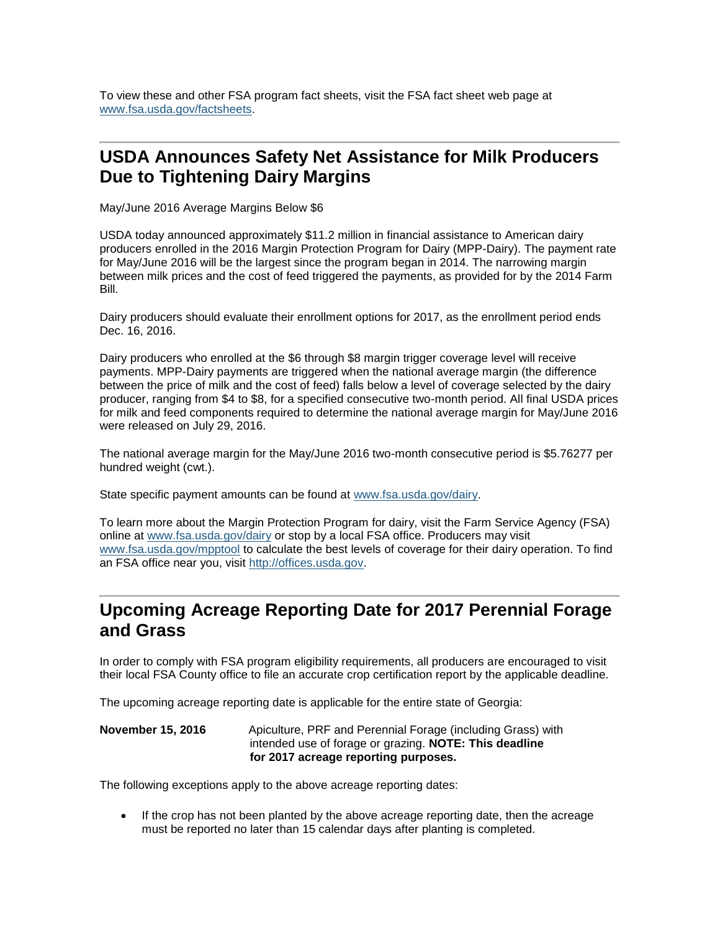To view these and other FSA program fact sheets, visit the FSA fact sheet web page at [www.fsa.usda.gov/factsheets.](http://www.fsa.usda.gov/factsheets)

## <span id="page-4-0"></span>**USDA Announces Safety Net Assistance for Milk Producers Due to Tightening Dairy Margins**

May/June 2016 Average Margins Below \$6

USDA today announced approximately \$11.2 million in financial assistance to American dairy producers enrolled in the 2016 Margin Protection Program for Dairy (MPP-Dairy). The payment rate for May/June 2016 will be the largest since the program began in 2014. The narrowing margin between milk prices and the cost of feed triggered the payments, as provided for by the 2014 Farm Bill.

Dairy producers should evaluate their enrollment options for 2017, as the enrollment period ends Dec. 16, 2016.

Dairy producers who enrolled at the \$6 through \$8 margin trigger coverage level will receive payments. MPP-Dairy payments are triggered when the national average margin (the difference between the price of milk and the cost of feed) falls below a level of coverage selected by the dairy producer, ranging from \$4 to \$8, for a specified consecutive two-month period. All final USDA prices for milk and feed components required to determine the national average margin for May/June 2016 were released on July 29, 2016.

The national average margin for the May/June 2016 two-month consecutive period is \$5.76277 per hundred weight (cwt.).

State specific payment amounts can be found at [www.fsa.usda.gov/dairy.](http://www.fsa.usda.gov/dairy)

To learn more about the Margin Protection Program for dairy, visit the Farm Service Agency (FSA) online at [www.fsa.usda.gov/dairy](http://www.fsa.usda.gov/dairy) or stop by a local FSA office. Producers may visit [www.fsa.usda.gov/mpptool](http://www.fsa.usda.gov/mpptool) to calculate the best levels of coverage for their dairy operation. To find an FSA office near you, visit [http://offices.usda.gov.](http://offices.usda.gov/) 

#### <span id="page-4-1"></span>**Upcoming Acreage Reporting Date for 2017 Perennial Forage and Grass**

In order to comply with FSA program eligibility requirements, all producers are encouraged to visit their local FSA County office to file an accurate crop certification report by the applicable deadline.

The upcoming acreage reporting date is applicable for the entire state of Georgia:

**November 15, 2016** Apiculture, PRF and Perennial Forage (including Grass) with intended use of forage or grazing. **NOTE: This deadline for 2017 acreage reporting purposes.**

The following exceptions apply to the above acreage reporting dates:

 If the crop has not been planted by the above acreage reporting date, then the acreage must be reported no later than 15 calendar days after planting is completed.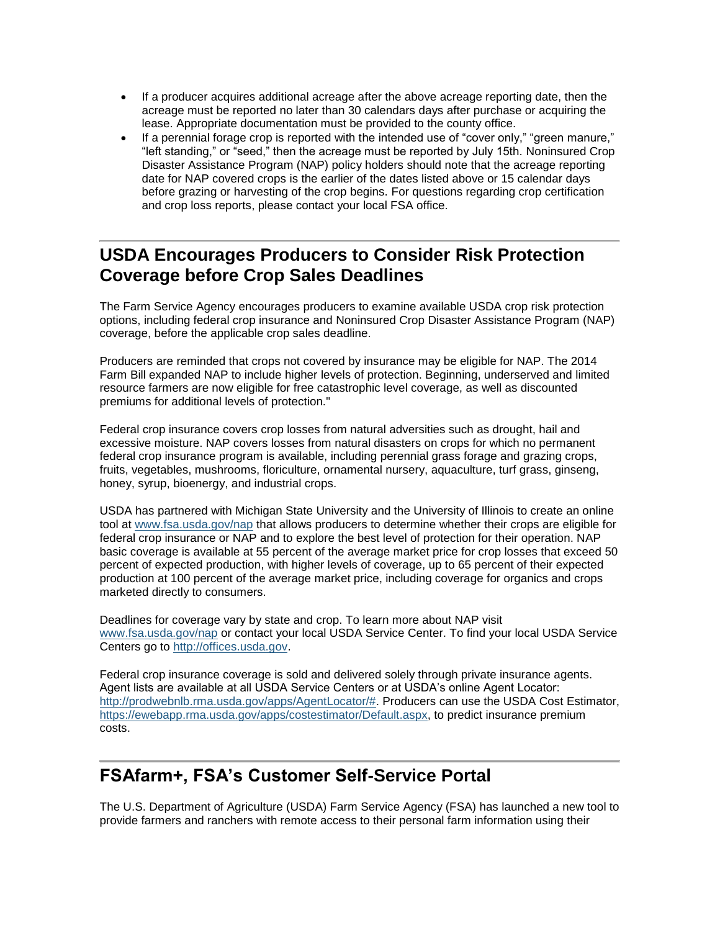- If a producer acquires additional acreage after the above acreage reporting date, then the acreage must be reported no later than 30 calendars days after purchase or acquiring the lease. Appropriate documentation must be provided to the county office.
- If a perennial forage crop is reported with the intended use of "cover only," "green manure," "left standing," or "seed," then the acreage must be reported by July 15th. Noninsured Crop Disaster Assistance Program (NAP) policy holders should note that the acreage reporting date for NAP covered crops is the earlier of the dates listed above or 15 calendar days before grazing or harvesting of the crop begins. For questions regarding crop certification and crop loss reports, please contact your local FSA office.

## <span id="page-5-0"></span>**USDA Encourages Producers to Consider Risk Protection Coverage before Crop Sales Deadlines**

The Farm Service Agency encourages producers to examine available USDA crop risk protection options, including federal crop insurance and Noninsured Crop Disaster Assistance Program (NAP) coverage, before the applicable crop sales deadline.

Producers are reminded that crops not covered by insurance may be eligible for NAP. The 2014 Farm Bill expanded NAP to include higher levels of protection. Beginning, underserved and limited resource farmers are now eligible for free catastrophic level coverage, as well as discounted premiums for additional levels of protection."

Federal crop insurance covers crop losses from natural adversities such as drought, hail and excessive moisture. NAP covers losses from natural disasters on crops for which no permanent federal crop insurance program is available, including perennial grass forage and grazing crops, fruits, vegetables, mushrooms, floriculture, ornamental nursery, aquaculture, turf grass, ginseng, honey, syrup, bioenergy, and industrial crops.

USDA has partnered with Michigan State University and the University of Illinois to create an online tool at [www.fsa.usda.gov/nap](http://www.fsa.usda.gov/nap) that allows producers to determine whether their crops are eligible for federal crop insurance or NAP and to explore the best level of protection for their operation. NAP basic coverage is available at 55 percent of the average market price for crop losses that exceed 50 percent of expected production, with higher levels of coverage, up to 65 percent of their expected production at 100 percent of the average market price, including coverage for organics and crops marketed directly to consumers.

Deadlines for coverage vary by state and crop. To learn more about NAP visit [www.fsa.usda.gov/nap](http://www.fsa.usda.gov/nap) or contact your local USDA Service Center. To find your local USDA Service Centers go to [http://offices.usda.gov.](http://offices.usda.gov/)

Federal crop insurance coverage is sold and delivered solely through private insurance agents. Agent lists are available at all USDA Service Centers or at USDA's online Agent Locator: [http://prodwebnlb.rma.usda.gov/apps/AgentLocator/#.](http://prodwebnlb.rma.usda.gov/apps/AgentLocator/) Producers can use the USDA Cost Estimator, [https://ewebapp.rma.usda.gov/apps/costestimator/Default.aspx,](https://ewebapp.rma.usda.gov/apps/costestimator/Default.aspx) to predict insurance premium costs.

## <span id="page-5-1"></span>**FSAfarm+, FSA's Customer Self-Service Portal**

The U.S. Department of Agriculture (USDA) Farm Service Agency (FSA) has launched a new tool to provide farmers and ranchers with remote access to their personal farm information using their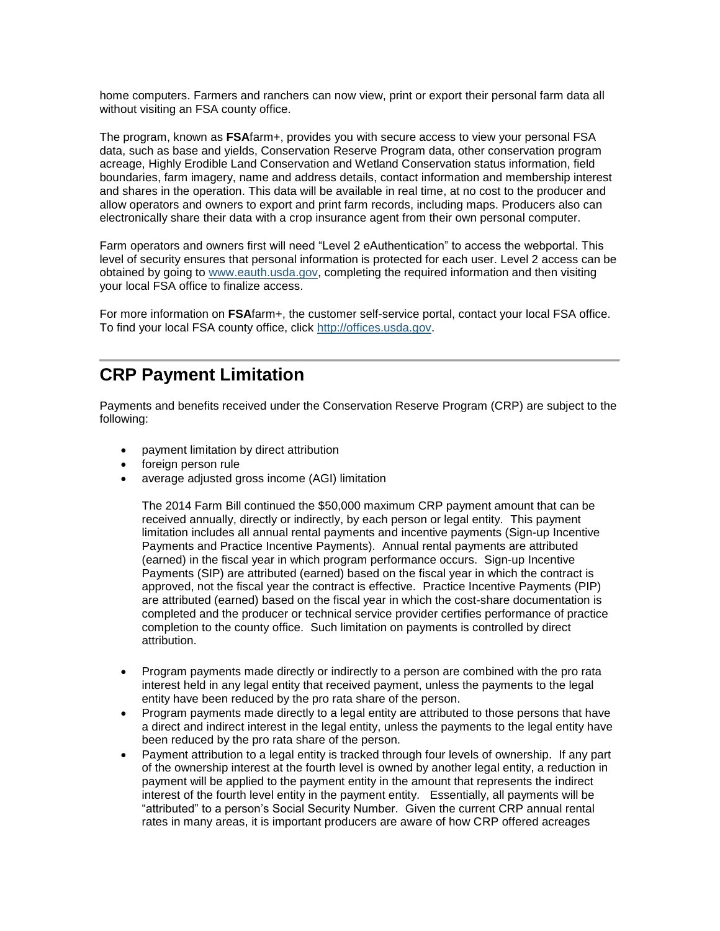home computers. Farmers and ranchers can now view, print or export their personal farm data all without visiting an FSA county office.

The program, known as **FSA**farm+, provides you with secure access to view your personal FSA data, such as base and yields, Conservation Reserve Program data, other conservation program acreage, Highly Erodible Land Conservation and Wetland Conservation status information, field boundaries, farm imagery, name and address details, contact information and membership interest and shares in the operation. This data will be available in real time, at no cost to the producer and allow operators and owners to export and print farm records, including maps. Producers also can electronically share their data with a crop insurance agent from their own personal computer.

Farm operators and owners first will need "Level 2 eAuthentication" to access the webportal. This level of security ensures that personal information is protected for each user. Level 2 access can be obtained by going to [www.eauth.usda.gov,](http://www.eauth.usda.gov/) completing the required information and then visiting your local FSA office to finalize access.

For more information on **FSA**farm+, the customer self-service portal, contact your local FSA office. To find your local FSA county office, click [http://offices.usda.gov.](http://offices.usda.gov/)

#### <span id="page-6-0"></span>**CRP Payment Limitation**

Payments and benefits received under the Conservation Reserve Program (CRP) are subject to the following:

- payment limitation by direct attribution
- foreign person rule
- average adjusted gross income (AGI) limitation

The 2014 Farm Bill continued the \$50,000 maximum CRP payment amount that can be received annually, directly or indirectly, by each person or legal entity. This payment limitation includes all annual rental payments and incentive payments (Sign-up Incentive Payments and Practice Incentive Payments). Annual rental payments are attributed (earned) in the fiscal year in which program performance occurs. Sign-up Incentive Payments (SIP) are attributed (earned) based on the fiscal year in which the contract is approved, not the fiscal year the contract is effective. Practice Incentive Payments (PIP) are attributed (earned) based on the fiscal year in which the cost-share documentation is completed and the producer or technical service provider certifies performance of practice completion to the county office. Such limitation on payments is controlled by direct attribution.

- Program payments made directly or indirectly to a person are combined with the pro rata interest held in any legal entity that received payment, unless the payments to the legal entity have been reduced by the pro rata share of the person.
- Program payments made directly to a legal entity are attributed to those persons that have a direct and indirect interest in the legal entity, unless the payments to the legal entity have been reduced by the pro rata share of the person.
- Payment attribution to a legal entity is tracked through four levels of ownership. If any part of the ownership interest at the fourth level is owned by another legal entity, a reduction in payment will be applied to the payment entity in the amount that represents the indirect interest of the fourth level entity in the payment entity. Essentially, all payments will be "attributed" to a person's Social Security Number. Given the current CRP annual rental rates in many areas, it is important producers are aware of how CRP offered acreages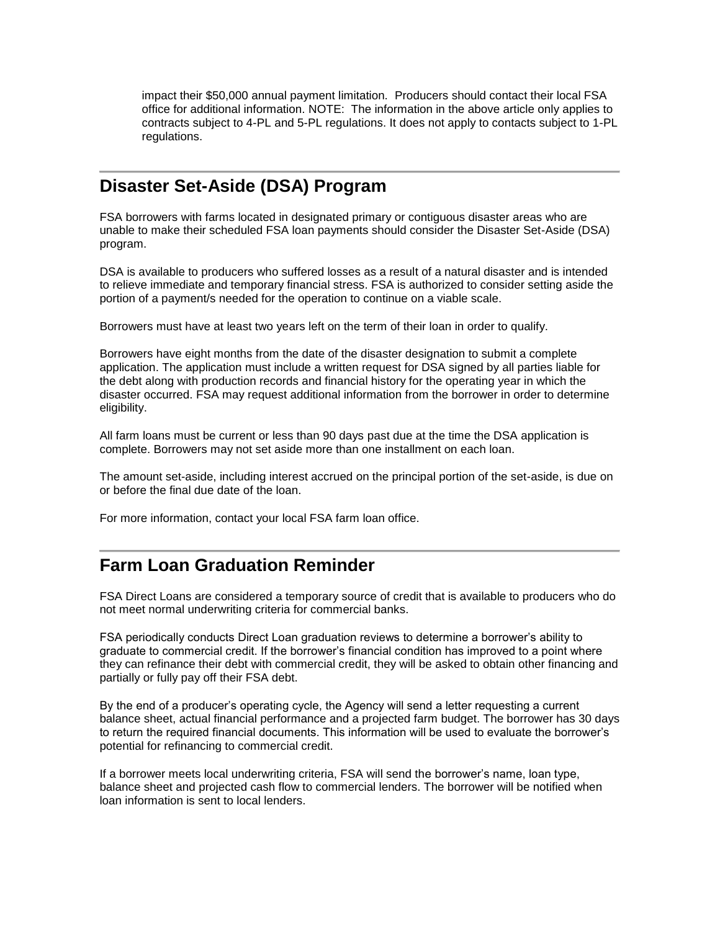impact their \$50,000 annual payment limitation. Producers should contact their local FSA office for additional information. NOTE: The information in the above article only applies to contracts subject to 4-PL and 5-PL regulations. It does not apply to contacts subject to 1-PL regulations.

#### <span id="page-7-0"></span>**Disaster Set-Aside (DSA) Program**

FSA borrowers with farms located in designated primary or contiguous disaster areas who are unable to make their scheduled FSA loan payments should consider the Disaster Set-Aside (DSA) program.

DSA is available to producers who suffered losses as a result of a natural disaster and is intended to relieve immediate and temporary financial stress. FSA is authorized to consider setting aside the portion of a payment/s needed for the operation to continue on a viable scale.

Borrowers must have at least two years left on the term of their loan in order to qualify.

Borrowers have eight months from the date of the disaster designation to submit a complete application. The application must include a written request for DSA signed by all parties liable for the debt along with production records and financial history for the operating year in which the disaster occurred. FSA may request additional information from the borrower in order to determine eligibility.

All farm loans must be current or less than 90 days past due at the time the DSA application is complete. Borrowers may not set aside more than one installment on each loan.

The amount set-aside, including interest accrued on the principal portion of the set-aside, is due on or before the final due date of the loan.

For more information, contact your local FSA farm loan office.

#### <span id="page-7-1"></span>**Farm Loan Graduation Reminder**

FSA Direct Loans are considered a temporary source of credit that is available to producers who do not meet normal underwriting criteria for commercial banks.

FSA periodically conducts Direct Loan graduation reviews to determine a borrower's ability to graduate to commercial credit. If the borrower's financial condition has improved to a point where they can refinance their debt with commercial credit, they will be asked to obtain other financing and partially or fully pay off their FSA debt.

By the end of a producer's operating cycle, the Agency will send a letter requesting a current balance sheet, actual financial performance and a projected farm budget. The borrower has 30 days to return the required financial documents. This information will be used to evaluate the borrower's potential for refinancing to commercial credit.

If a borrower meets local underwriting criteria, FSA will send the borrower's name, loan type, balance sheet and projected cash flow to commercial lenders. The borrower will be notified when loan information is sent to local lenders.